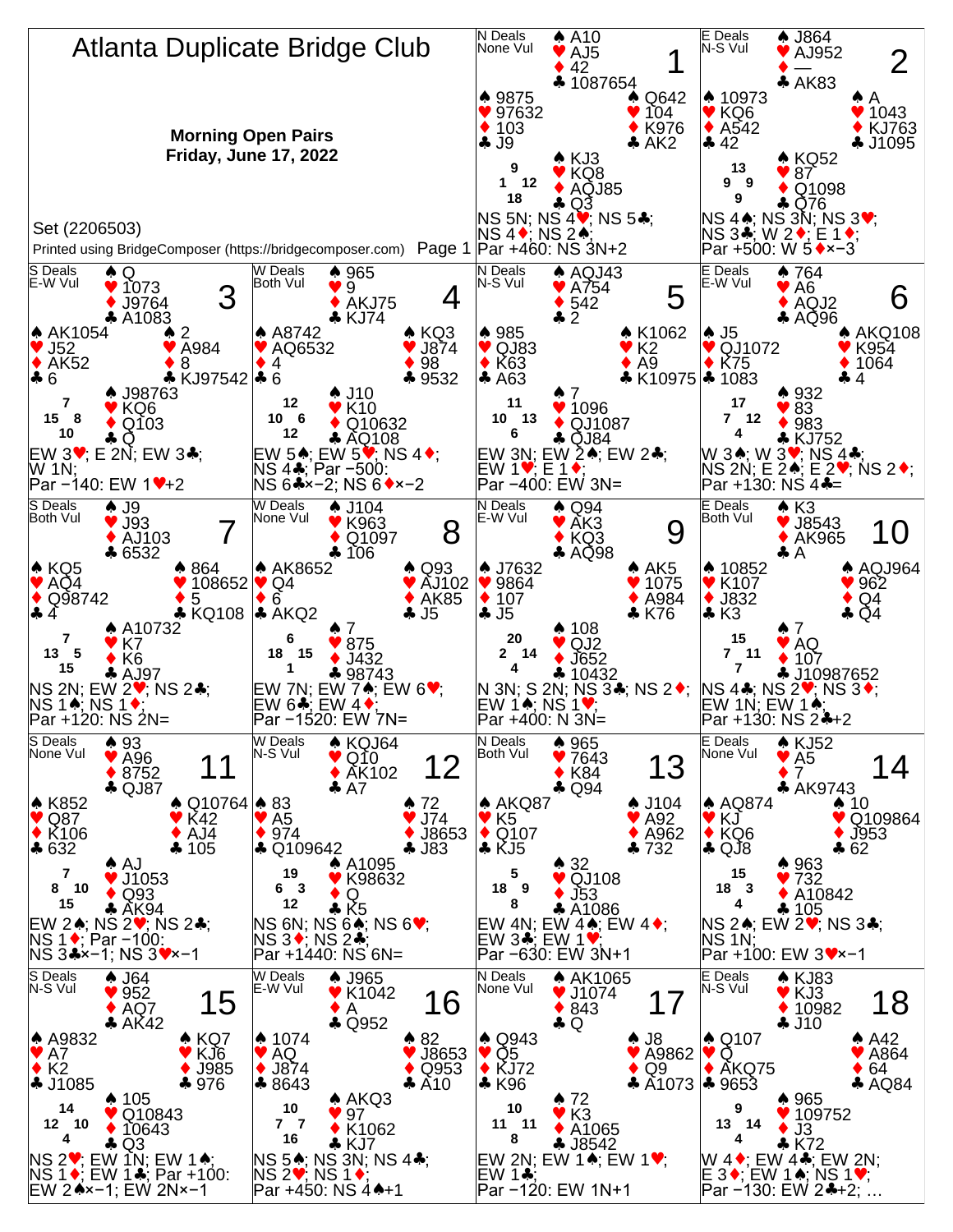